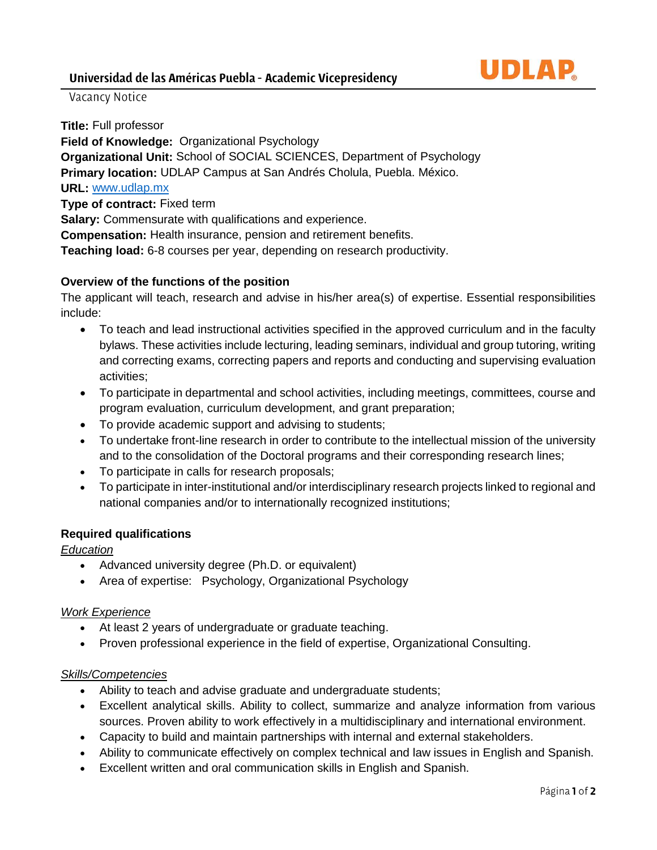

# Vacancy Notice

**Title:** Full professor **Field of Knowledge:** Organizational Psychology **Organizational Unit:** School of SOCIAL SCIENCES, Department of Psychology **Primary location:** UDLAP Campus at San Andrés Cholula, Puebla. México. **URL:** [www.udlap.mx](http://www.udlap.mx/) **Type of contract:** Fixed term **Salary:** Commensurate with qualifications and experience. **Compensation:** Health insurance, pension and retirement benefits. **Teaching load:** 6-8 courses per year, depending on research productivity.

## **Overview of the functions of the position**

The applicant will teach, research and advise in his/her area(s) of expertise. Essential responsibilities include:

- To teach and lead instructional activities specified in the approved curriculum and in the faculty bylaws. These activities include lecturing, leading seminars, individual and group tutoring, writing and correcting exams, correcting papers and reports and conducting and supervising evaluation activities;
- To participate in departmental and school activities, including meetings, committees, course and program evaluation, curriculum development, and grant preparation;
- To provide academic support and advising to students;
- To undertake front-line research in order to contribute to the intellectual mission of the university and to the consolidation of the Doctoral programs and their corresponding research lines;
- To participate in calls for research proposals;
- To participate in inter-institutional and/or interdisciplinary research projects linked to regional and national companies and/or to internationally recognized institutions;

## **Required qualifications**

## *Education*

- Advanced university degree (Ph.D. or equivalent)
- Area of expertise: Psychology, Organizational Psychology

## *Work Experience*

- At least 2 years of undergraduate or graduate teaching.
- Proven professional experience in the field of expertise, Organizational Consulting.

## *Skills/Competencies*

- Ability to teach and advise graduate and undergraduate students;
- Excellent analytical skills. Ability to collect, summarize and analyze information from various sources. Proven ability to work effectively in a multidisciplinary and international environment.
- Capacity to build and maintain partnerships with internal and external stakeholders.
- Ability to communicate effectively on complex technical and law issues in English and Spanish.
- Excellent written and oral communication skills in English and Spanish.